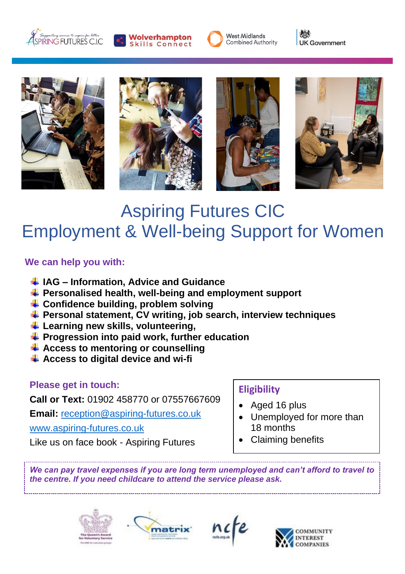





《 **UK Government** 









# Aspiring Futures CIC Employment & Well-being Support for Women

#### **We can help you with:**

- **IAG – Information, Advice and Guidance**
- **Personalised health, well-being and employment support**
- **Confidence building, problem solving**
- **Personal statement, CV writing, job search, interview techniques**
- **Learning new skills, volunteering,**
- **Progression into paid work, further education**
- **Access to mentoring or counselling**
- **Access to digital device and wi-fi**

## **Please get in touch:**

**Call or Text:** 01902 458770 or 07557667609

**Email:** [reception@aspiring-futures.co.uk](mailto:reception@aspiring-futures.co.uk)

[www.aspiring-futures.co.uk](http://www.aspiring-futures.co.uk/)

Like us on face book - Aspiring Futures

#### **Eligibility**

- Aged 16 plus
- Unemployed for more than 18 months
- Claiming benefits

*We can pay travel expenses if you are long term unemployed and can't afford to travel to the centre. If you need childcare to attend the service please ask.*